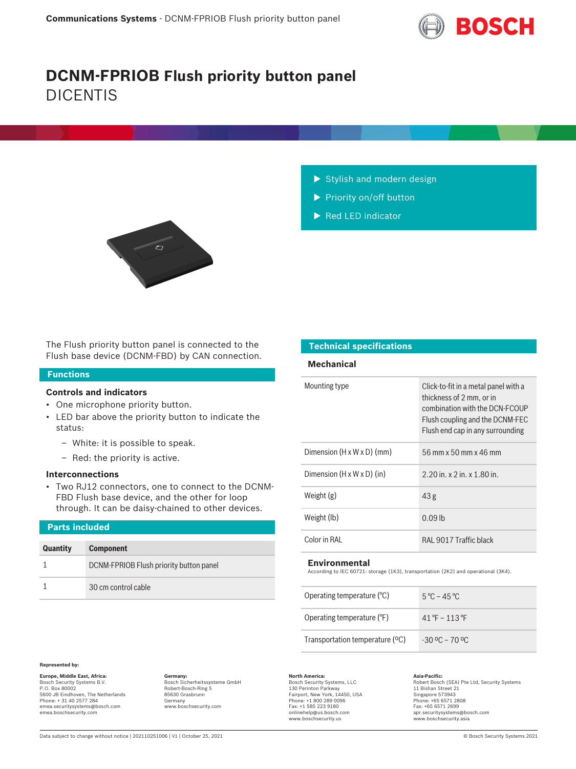

# **DCNM-FPRIOB Flush priority button panel** DICENTIS



- $\blacktriangleright$  Stylish and modern design
- $\blacktriangleright$  Priority on/off button
- $\blacktriangleright$  Red LED indicator

The Flush priority button panel is connected to the Flush base device (DCNM-FBD) by CAN connection.

# **Functions**

# **Controls and indicators**

- One microphone priority button.
- LED bar above the priority button to indicate the status:
	- White: it is possible to speak.
	- Red: the priority is active.

# **Interconnections**

• Two RJ12 connectors, one to connect to the DCNM-FBD Flush base device, and the other for loop through. It can be daisy-chained to other devices.

| <b>Parts included</b> |                                         |  |
|-----------------------|-----------------------------------------|--|
| <b>Quantity</b>       | <b>Component</b>                        |  |
|                       | DCNM-FPRIOB Flush priority button panel |  |
|                       | 30 cm control cable                     |  |

# **Technical specifications**

# **Mechanical**

| Mounting type                          | Click-to-fit in a metal panel with a<br>thickness of 2 mm, or in<br>combination with the DCN-ECOUP<br>Flush coupling and the DCNM-FEC<br>Flush end cap in any surrounding |
|----------------------------------------|---------------------------------------------------------------------------------------------------------------------------------------------------------------------------|
| Dimension $(H \times W \times D)$ (mm) | 56 mm x 50 mm x 46 mm                                                                                                                                                     |
| Dimension $(H \times W \times D)$ (in) | $2.20$ in. x $2$ in. x $1.80$ in.                                                                                                                                         |
| Weight $(g)$                           | 43 <sub>g</sub>                                                                                                                                                           |
| Weight (lb)                            | $0.09$ lb                                                                                                                                                                 |
| Color in RAI                           | RAL 9017 Traffic black                                                                                                                                                    |

### **Environmental**

According to IEC 60721: storage (1K3), transportation (2K2) and operational (3K4).

| Operating temperature $(°C)$    | $5^{\circ}$ C – 45 $^{\circ}$ C                |
|---------------------------------|------------------------------------------------|
| Operating temperature (°F)      | $41^{\circ}$ F – 113 °F                        |
| Transportation temperature (°C) | $-30\,^{\circ}\text{C} - 70\,^{\circ}\text{C}$ |

### **Represented by:**

**Europe, Middle East, Africa: Germany: North America: Asia-Pacific:** Bosch Sicherheitssysteme GmbH Bosch Security Systems B.V. P.O. Box 80002 5600 JB Eindhoven, The Netherlands Phone: + 31 40 2577 284 emea.securitysystems@bosch.com emea.boschsecurity.com

Robert-Bosch-Ring 5 85630 Grasbrunn Germany www.boschsecurity.com

Bosch Security Systems, LLC

130 Perinton Parkway Fairport, New York, 14450, USA Phone: +1 800 289 0096 Fax: +1 585 223 9180 onlinehelp@us.bosch.com www.boschsecurity.us

Asia-Pacific:<br>Robert Bosch (SEA) Pte Ltd, Security Systems

11 Bishan Street 21 Singapore 573943 Phone: +65 6571 2808 Fax: +65 6571 2699 apr.securitysystems@bosch.com www.boschsecurity.asia